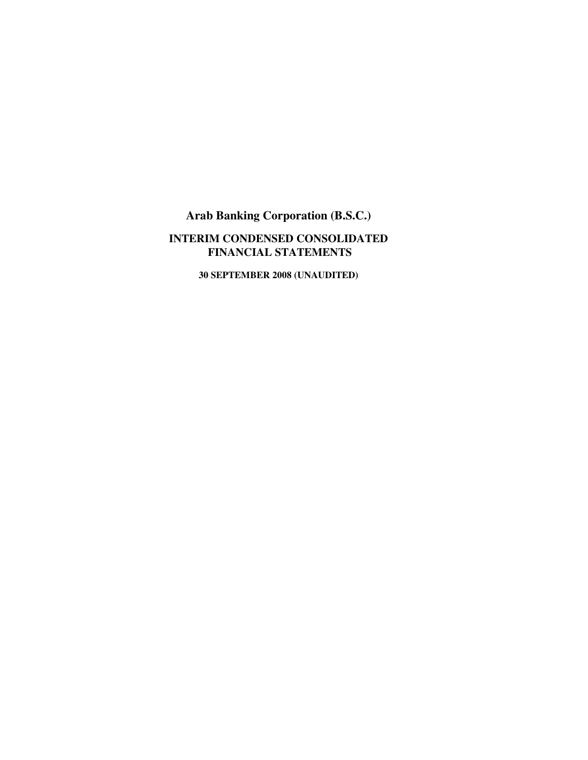## **INTERIM CONDENSED CONSOLIDATED FINANCIAL STATEMENTS**

**30 SEPTEMBER 2008 (UNAUDITED)**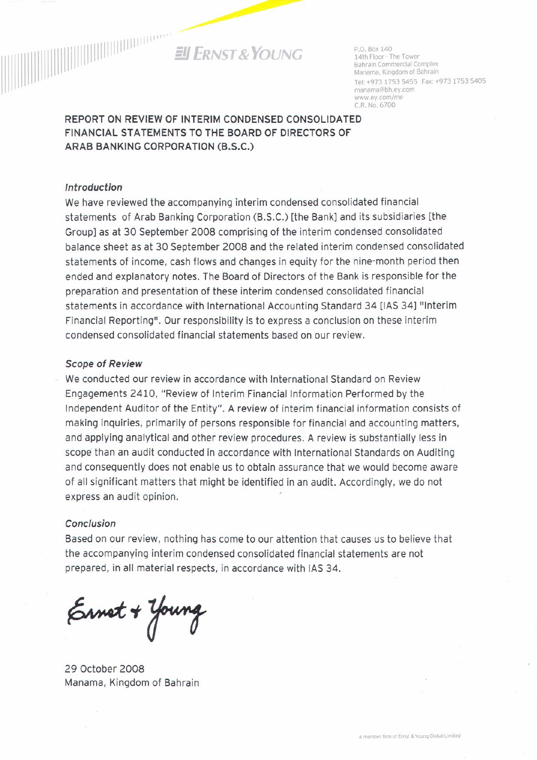

P.O. Box 140 14th Floor - The Tower Bahrain Commercial Complex Manama, Kingdom of Bahrain Tel: +973 1753 5455 Fax: +973 1753 5405 manama@bh.ev.com www.ev.com/me C.R. No. 6700

## REPORT ON REVIEW OF INTERIM CONDENSED CONSOLIDATED FINANCIAL STATEMENTS TO THE BOARD OF DIRECTORS OF ARAB BANKING CORPORATION (B.S.C.)

#### Introduction

We have reviewed the accompanying interim condensed consolidated financial statements of Arab Banking Corporation (B.S.C.) [the Bank] and its subsidiaries [the Group] as at 30 September 2008 comprising of the interim condensed consolidated balance sheet as at 30 September 2008 and the related interim condensed consolidated statements of income, cash flows and changes in equity for the nine-month period then ended and explanatory notes. The Board of Directors of the Bank is responsible for the preparation and presentation of these interim condensed consolidated financial statements in accordance with International Accounting Standard 34 [IAS 34] "Interim Financial Reporting". Our responsibility is to express a conclusion on these interim condensed consolidated financial statements based on our review.

#### **Scope of Review**

We conducted our review in accordance with International Standard on Review Engagements 2410, "Review of Interim Financial Information Performed by the Independent Auditor of the Entity". A review of interim financial information consists of making inquiries, primarily of persons responsible for financial and accounting matters, and applying analytical and other review procedures. A review is substantially less in scope than an audit conducted in accordance with International Standards on Auditing and consequently does not enable us to obtain assurance that we would become aware of all significant matters that might be identified in an audit. Accordingly, we do not express an audit opinion.

#### Conclusion

Based on our review, nothing has come to our attention that causes us to believe that the accompanying interim condensed consolidated financial statements are not prepared, in all material respects, in accordance with IAS 34.

Ernet + Young

29 October 2008 Manama, Kingdom of Bahrain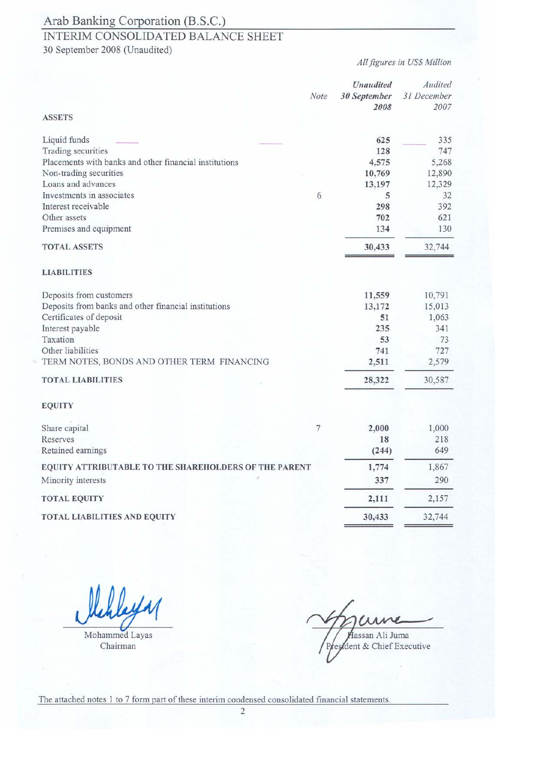## INTERIM CONSOLIDATED BALANCE SHEET

30 September 2008 (Unaudited)

All figures in US\$ Million

|                                                        |      | Unaudited            | Audited             |
|--------------------------------------------------------|------|----------------------|---------------------|
|                                                        | Note | 30 September<br>2008 | 31 December<br>2007 |
| <b>ASSETS</b>                                          |      |                      |                     |
| Liquid funds                                           |      | 625                  | 335                 |
| Trading securities                                     |      | 128                  | 747                 |
| Placements with banks and other financial institutions |      | 4,575                | 5,268               |
| Non-trading securities                                 |      | 10,769               | 12,890              |
| Loans and advances                                     |      | 13,197               | 12,329              |
| Investments in associates                              | 6    | 5                    | 32                  |
| Interest receivable                                    |      | 298                  | 392                 |
| Other assets                                           |      | 702                  | 621                 |
| Premises and equipment                                 |      | 134                  | 130                 |
| <b>TOTAL ASSETS</b>                                    |      | 30,433               | 32,744              |
| <b>LIABILITIES</b>                                     |      |                      |                     |
| Deposits from customers                                |      | 11,559               | 10,791              |
| Deposits from banks and other financial institutions   |      | 13,172               | 15,013              |
| Certificates of deposit                                |      | 51                   | 1,063               |
| Interest payable                                       |      | 235                  | 341                 |
| Taxation                                               |      | 53                   | 73                  |
| Other liabilities                                      |      | 741                  | 727                 |
| TERM NOTES, BONDS AND OTHER TERM FINANCING             |      | 2,511                | 2,579               |
| <b>TOTAL LIABILITIES</b>                               |      | 28,322               | 30,587              |
| <b>EQUITY</b>                                          |      |                      |                     |
| Share capital                                          | 7    | 2,000                | 1,000               |
| Reserves                                               |      | 18                   | 218                 |
| Retained earnings                                      |      | (244)                | 649                 |
| EQUITY ATTRIBUTABLE TO THE SHAREHOLDERS OF THE PARENT  |      | 1,774                | 1,867               |
| Minority interests                                     |      | 337                  | 290                 |
| <b>TOTAL EQUITY</b>                                    |      | 2,111                | 2,157               |
| TOTAL LIABILITIES AND EQUITY                           |      | 30,433               | 32,744              |

Mohammed Layas

Chairman

lassan Ali Juma dent & Chief Executive

The attached notes 1 to 7 form part of these interim condensed consolidated financial statements.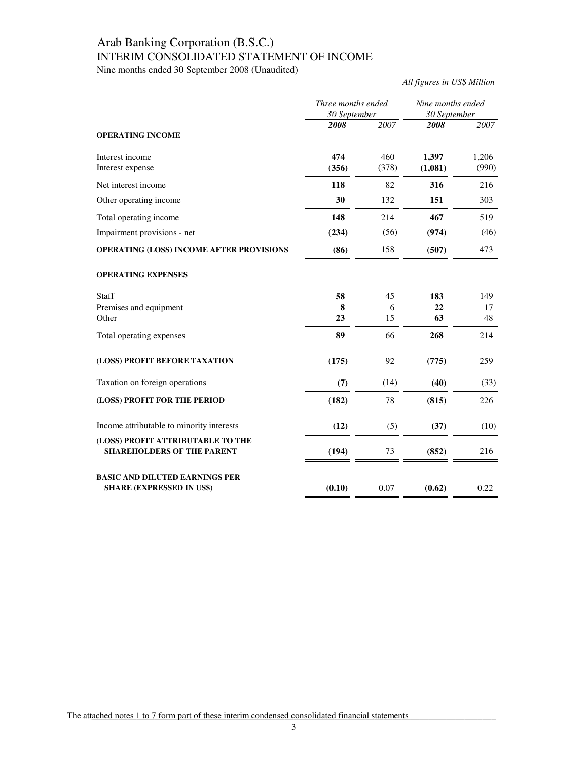## INTERIM CONSOLIDATED STATEMENT OF INCOME

Nine months ended 30 September 2008 (Unaudited)

*All figures in US\$ Million*

|                                                                           | Three months ended<br>30 September |              | Nine months ended<br>30 September |                |
|---------------------------------------------------------------------------|------------------------------------|--------------|-----------------------------------|----------------|
| <b>OPERATING INCOME</b>                                                   | 2008                               | 2007         | 2008                              | 2007           |
| Interest income<br>Interest expense                                       | 474<br>(356)                       | 460<br>(378) | 1,397<br>(1,081)                  | 1,206<br>(990) |
| Net interest income                                                       | 118                                | 82           | 316                               | 216            |
| Other operating income                                                    | 30                                 | 132          | 151                               | 303            |
| Total operating income                                                    | 148                                | 214          | 467                               | 519            |
| Impairment provisions - net                                               | (234)                              | (56)         | (974)                             | (46)           |
| OPERATING (LOSS) INCOME AFTER PROVISIONS                                  | (86)                               | 158          | (507)                             | 473            |
| <b>OPERATING EXPENSES</b>                                                 |                                    |              |                                   |                |
| <b>Staff</b>                                                              | 58                                 | 45           | 183                               | 149            |
| Premises and equipment<br>Other                                           | 8<br>23                            | 6<br>15      | 22<br>63                          | 17<br>48       |
|                                                                           | 89                                 |              | 268                               | 214            |
| Total operating expenses                                                  |                                    | 66           |                                   |                |
| (LOSS) PROFIT BEFORE TAXATION                                             | (175)                              | 92           | (775)                             | 259            |
| Taxation on foreign operations                                            | (7)                                | (14)         | (40)                              | (33)           |
| (LOSS) PROFIT FOR THE PERIOD                                              | (182)                              | 78           | (815)                             | 226            |
| Income attributable to minority interests                                 | (12)                               | (5)          | (37)                              | (10)           |
| (LOSS) PROFIT ATTRIBUTABLE TO THE<br><b>SHAREHOLDERS OF THE PARENT</b>    | (194)                              | 73           | (852)                             | 216            |
| <b>BASIC AND DILUTED EARNINGS PER</b><br><b>SHARE (EXPRESSED IN US\$)</b> | (0.10)                             | 0.07         | (0.62)                            | 0.22           |

The attached notes 1 to 7 form part of these interim condensed consolidated financial statements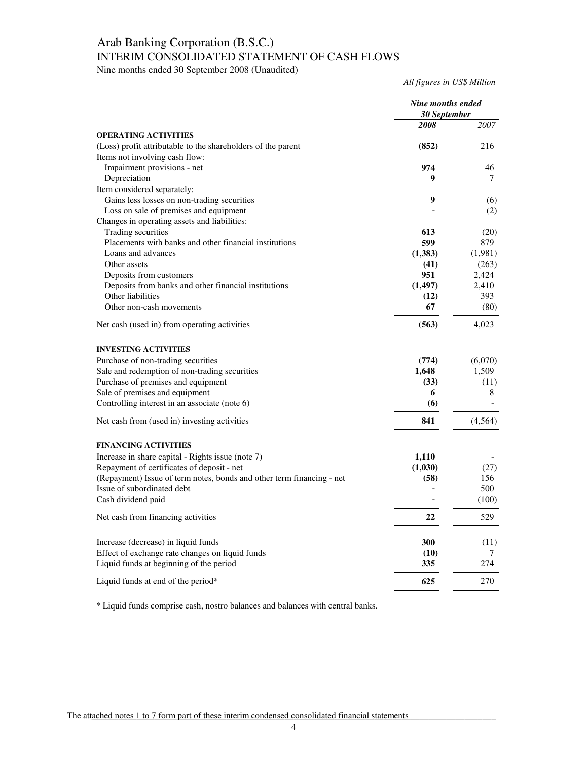## INTERIM CONSOLIDATED STATEMENT OF CASH FLOWS

Nine months ended 30 September 2008 (Unaudited)

*All figures in US\$ Million*

|                                                                       | Nine months ended<br><b>30 September</b> |          |
|-----------------------------------------------------------------------|------------------------------------------|----------|
|                                                                       | 2008                                     | 2007     |
| <b>OPERATING ACTIVITIES</b>                                           |                                          |          |
| (Loss) profit attributable to the shareholders of the parent          | (852)                                    | 216      |
| Items not involving cash flow:                                        |                                          |          |
| Impairment provisions - net                                           | 974                                      | 46       |
| Depreciation                                                          | 9                                        | 7        |
| Item considered separately:                                           |                                          |          |
| Gains less losses on non-trading securities                           | 9                                        | (6)      |
| Loss on sale of premises and equipment                                |                                          | (2)      |
| Changes in operating assets and liabilities:                          |                                          |          |
| Trading securities                                                    | 613                                      | (20)     |
| Placements with banks and other financial institutions                | 599                                      | 879      |
| Loans and advances                                                    | (1, 383)                                 | (1,981)  |
| Other assets                                                          | (41)                                     | (263)    |
| Deposits from customers                                               | 951                                      | 2,424    |
| Deposits from banks and other financial institutions                  | (1,497)                                  | 2,410    |
| Other liabilities                                                     | (12)                                     | 393      |
| Other non-cash movements                                              | 67                                       | (80)     |
| Net cash (used in) from operating activities                          | (563)                                    | 4,023    |
| <b>INVESTING ACTIVITIES</b>                                           |                                          |          |
| Purchase of non-trading securities                                    | (774)                                    | (6,070)  |
| Sale and redemption of non-trading securities                         | 1,648                                    | 1,509    |
| Purchase of premises and equipment                                    | (33)                                     | (11)     |
| Sale of premises and equipment                                        | 6                                        | 8        |
| Controlling interest in an associate (note 6)                         | (6)                                      |          |
| Net cash from (used in) investing activities                          | 841                                      | (4, 564) |
|                                                                       |                                          |          |
| <b>FINANCING ACTIVITIES</b>                                           |                                          |          |
| Increase in share capital - Rights issue (note 7)                     | 1,110                                    |          |
| Repayment of certificates of deposit - net                            | (1,030)                                  | (27)     |
| (Repayment) Issue of term notes, bonds and other term financing - net | (58)                                     | 156      |
| Issue of subordinated debt                                            |                                          | 500      |
| Cash dividend paid                                                    |                                          | (100)    |
| Net cash from financing activities                                    | 22                                       | 529      |
| Increase (decrease) in liquid funds                                   | 300                                      | (11)     |
| Effect of exchange rate changes on liquid funds                       | (10)                                     | 7        |
| Liquid funds at beginning of the period                               | 335                                      | 274      |
| Liquid funds at end of the period*                                    | 625                                      | 270      |

\* Liquid funds comprise cash, nostro balances and balances with central banks.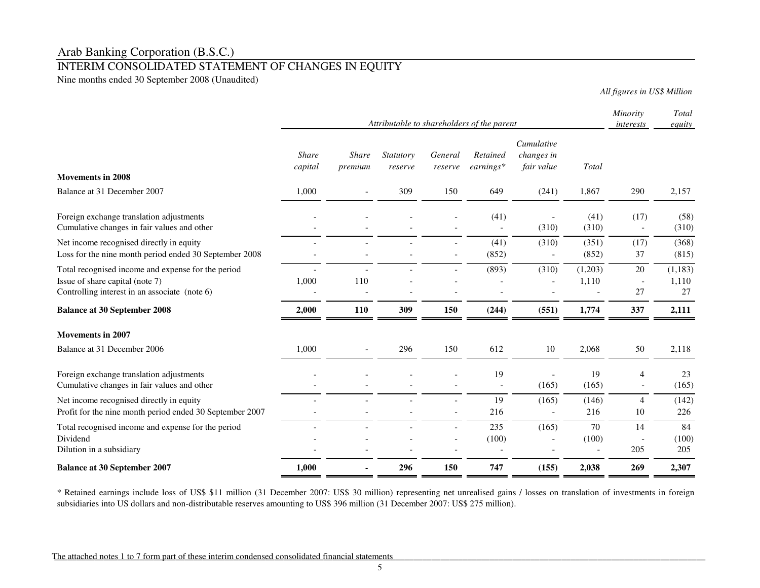### INTERIM CONSOLIDATED STATEMENT OF CHANGES IN EQUITY

Nine months ended 30 September 2008 (Unaudited)

*All figures in US\$ Million*

|                                                                                         | Attributable to shareholders of the parent |                         |                      |                    |                         | Minority<br>interests                  | Total<br>equity |                                  |               |
|-----------------------------------------------------------------------------------------|--------------------------------------------|-------------------------|----------------------|--------------------|-------------------------|----------------------------------------|-----------------|----------------------------------|---------------|
| <b>Movements in 2008</b>                                                                | <b>Share</b><br>capital                    | <b>Share</b><br>premium | Statutory<br>reserve | General<br>reserve | Retained<br>$earnings*$ | Cumulative<br>changes in<br>fair value | Total           |                                  |               |
| Balance at 31 December 2007                                                             |                                            |                         | 309                  |                    |                         |                                        |                 |                                  |               |
|                                                                                         | 1,000                                      |                         |                      | 150                | 649                     | (241)                                  | 1,867           | 290                              | 2,157         |
| Foreign exchange translation adjustments<br>Cumulative changes in fair values and other |                                            |                         |                      |                    | (41)<br>$\overline{a}$  | (310)                                  | (41)<br>(310)   | (17)<br>$\overline{\phantom{a}}$ | (58)<br>(310) |
| Net income recognised directly in equity                                                |                                            |                         |                      |                    | (41)                    | (310)                                  | (351)           | (17)                             | (368)         |
| Loss for the nine month period ended 30 September 2008                                  |                                            |                         |                      |                    | (852)                   |                                        | (852)           | 37                               | (815)         |
| Total recognised income and expense for the period                                      |                                            |                         |                      |                    | (893)                   | (310)                                  | (1,203)         | 20                               | (1, 183)      |
| Issue of share capital (note 7)                                                         | 1,000                                      | 110                     |                      |                    |                         |                                        | 1,110           | $\overline{\phantom{a}}$         | 1,110         |
| Controlling interest in an associate (note 6)                                           |                                            |                         |                      |                    |                         |                                        |                 | 27                               | 27            |
| <b>Balance at 30 September 2008</b>                                                     | 2,000                                      | 110                     | 309                  | 150                | (244)                   | (551)                                  | 1,774           | 337                              | 2,111         |
| <b>Movements in 2007</b>                                                                |                                            |                         |                      |                    |                         |                                        |                 |                                  |               |
| Balance at 31 December 2006                                                             | 1,000                                      |                         | 296                  | 150                | 612                     | 10                                     | 2,068           | 50                               | 2,118         |
| Foreign exchange translation adjustments                                                |                                            |                         |                      |                    | 19                      |                                        | 19              | 4                                | 23            |
| Cumulative changes in fair values and other                                             |                                            |                         |                      |                    |                         | (165)                                  | (165)           | $\overline{\phantom{a}}$         | (165)         |
| Net income recognised directly in equity                                                |                                            |                         |                      |                    | 19                      | (165)                                  | (146)           | $\overline{4}$                   | (142)         |
| Profit for the nine month period ended 30 September 2007                                |                                            |                         |                      | $\overline{a}$     | 216                     |                                        | 216             | 10                               | 226           |
| Total recognised income and expense for the period                                      |                                            |                         |                      |                    | 235                     | (165)                                  | 70              | 14                               | 84            |
| Dividend                                                                                |                                            |                         |                      |                    | (100)                   |                                        | (100)           | $\overline{a}$                   | (100)         |
| Dilution in a subsidiary                                                                |                                            |                         |                      |                    |                         |                                        |                 | 205                              | 205           |
| <b>Balance at 30 September 2007</b>                                                     | 1,000                                      |                         | 296                  | 150                | 747                     | (155)                                  | 2,038           | 269                              | 2,307         |

\* Retained earnings include loss of US\$ \$11 million (31 December 2007: US\$ 30 million) representing net unrealised gains / losses on translation of investments in foreignsubsidiaries into US dollars and non-distributable reserves amounting to US\$ 396 million (31 December 2007: US\$ 275 million).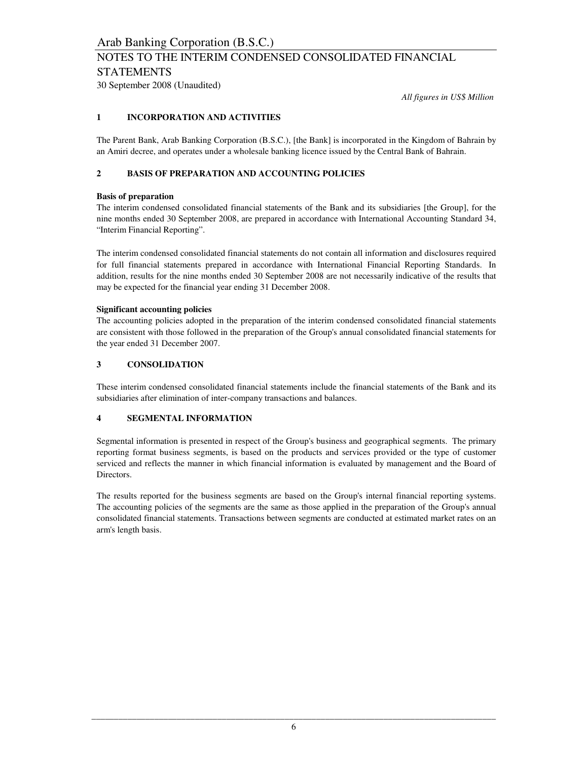## NOTES TO THE INTERIM CONDENSED CONSOLIDATED FINANCIAL STATEMENTS

30 September 2008 (Unaudited)

*All figures in US\$ Million*

#### **1 INCORPORATION AND ACTIVITIES**

The Parent Bank, Arab Banking Corporation (B.S.C.), [the Bank] is incorporated in the Kingdom of Bahrain by an Amiri decree, and operates under a wholesale banking licence issued by the Central Bank of Bahrain.

#### **2 BASIS OF PREPARATION AND ACCOUNTING POLICIES**

#### **Basis of preparation**

The interim condensed consolidated financial statements of the Bank and its subsidiaries [the Group], for the nine months ended 30 September 2008, are prepared in accordance with International Accounting Standard 34, "Interim Financial Reporting".

The interim condensed consolidated financial statements do not contain all information and disclosures required for full financial statements prepared in accordance with International Financial Reporting Standards. In addition, results for the nine months ended 30 September 2008 are not necessarily indicative of the results that may be expected for the financial year ending 31 December 2008.

#### **Significant accounting policies**

The accounting policies adopted in the preparation of the interim condensed consolidated financial statements are consistent with those followed in the preparation of the Group's annual consolidated financial statements for the year ended 31 December 2007.

#### **3 CONSOLIDATION**

These interim condensed consolidated financial statements include the financial statements of the Bank and its subsidiaries after elimination of inter-company transactions and balances.

#### **4 SEGMENTAL INFORMATION**

Segmental information is presented in respect of the Group's business and geographical segments. The primary reporting format business segments, is based on the products and services provided or the type of customer serviced and reflects the manner in which financial information is evaluated by management and the Board of Directors.

The results reported for the business segments are based on the Group's internal financial reporting systems. The accounting policies of the segments are the same as those applied in the preparation of the Group's annual consolidated financial statements. Transactions between segments are conducted at estimated market rates on an arm's length basis.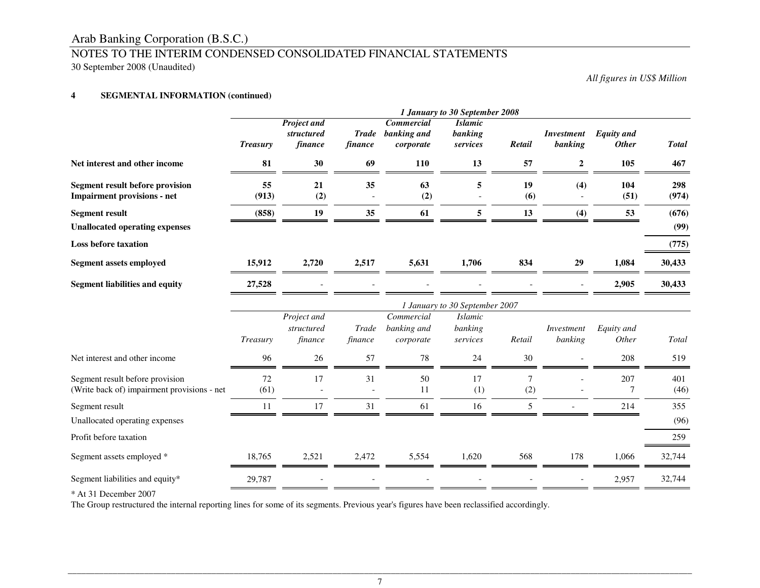# Arab Banking Corporation (B.S.C.) NOTES TO THE INTERIM CONDENSED CONSOLIDATED FINANCIAL STATEMENTS

30 September 2008 (Unaudited)

*All figures in US\$ Million*

#### **4SEGMENTAL INFORMATION (continued)**

|                                                                                | 1 January to 30 September 2008 |                                             |                         |                                               |                                       |           |                              |                                   |              |
|--------------------------------------------------------------------------------|--------------------------------|---------------------------------------------|-------------------------|-----------------------------------------------|---------------------------------------|-----------|------------------------------|-----------------------------------|--------------|
|                                                                                | <b>Treasury</b>                | <b>Project and</b><br>structured<br>finance | <b>Trade</b><br>finance | <b>Commercial</b><br>banking and<br>corporate | <b>Islamic</b><br>banking<br>services | Retail    | <b>Investment</b><br>banking | <b>Equity</b> and<br><b>Other</b> | <b>Total</b> |
| Net interest and other income                                                  | 81                             | 30                                          | 69                      | 110                                           | 13                                    | 57        | $\boldsymbol{2}$             | 105                               | 467          |
| <b>Segment result before provision</b><br><b>Impairment provisions - net</b>   | 55<br>(913)                    | 21<br>(2)                                   | 35                      | 63<br>(2)                                     | 5                                     | 19<br>(6) | (4)                          | 104<br>(51)                       | 298<br>(974) |
| <b>Segment result</b>                                                          | (858)                          | 19                                          | 35                      | 61                                            | 5                                     | 13        | (4)                          | 53                                | (676)        |
| <b>Unallocated operating expenses</b>                                          |                                |                                             |                         |                                               |                                       |           |                              |                                   | (99)         |
| <b>Loss before taxation</b>                                                    |                                |                                             |                         |                                               |                                       |           |                              |                                   | (775)        |
| <b>Segment assets employed</b>                                                 | 15,912                         | 2,720                                       | 2,517                   | 5,631                                         | 1,706                                 | 834       | 29                           | 1,084                             | 30,433       |
| <b>Segment liabilities and equity</b>                                          | 27,528                         |                                             |                         |                                               |                                       |           |                              | 2,905                             | 30,433       |
|                                                                                |                                |                                             |                         |                                               | 1 January to 30 September 2007        |           |                              |                                   |              |
|                                                                                | Treasury                       | Project and<br>structured<br>finance        | Trade<br>finance        | Commercial<br>banking and<br>corporate        | <b>Islamic</b><br>banking<br>services | Retail    | Investment<br>banking        | Equity and<br>Other               | Total        |
| Net interest and other income                                                  | 96                             | 26                                          | 57                      | 78                                            | 24                                    | 30        |                              | 208                               | 519          |
| Segment result before provision<br>(Write back of) impairment provisions - net | 72<br>(61)                     | 17                                          | 31                      | 50<br>11                                      | 17<br>(1)                             | 7<br>(2)  |                              | 207<br>7                          | 401<br>(46)  |
| Segment result                                                                 | 11                             | 17                                          | 31                      | 61                                            | 16                                    | 5         |                              | 214                               | 355          |
| Unallocated operating expenses                                                 |                                |                                             |                         |                                               |                                       |           |                              |                                   | (96)         |
| Profit before taxation                                                         |                                |                                             |                         |                                               |                                       |           |                              |                                   | 259          |
| Segment assets employed *                                                      | 18,765                         | 2,521                                       | 2,472                   | 5,554                                         | 1,620                                 | 568       | 178                          | 1,066                             | 32,744       |
| Segment liabilities and equity*                                                | 29,787                         |                                             |                         |                                               |                                       |           |                              | 2,957                             | 32,744       |

\* At 31 December 2007

The Group restructured the internal reporting lines for some of its segments. Previous year's figures have been reclassified accordingly.